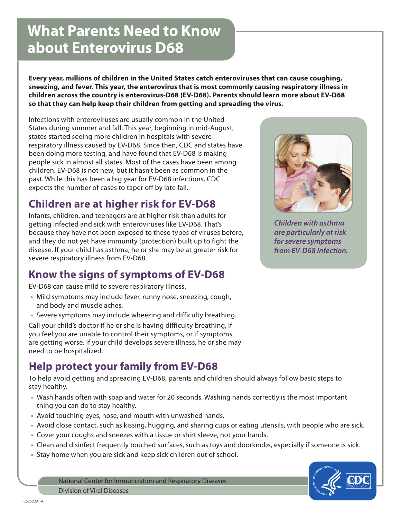# **What Parents Need to Know about Enterovirus D68**

**Every year, millions of children in the United States catch enteroviruses that can cause coughing, sneezing, and fever. This year, the enterovirus that is most commonly causing respiratory illness in children across the country is enterovirus-D68 (EV-D68). Parents should learn more about EV-D68 so that they can help keep their children from getting and spreading the virus.** 

Infections with enteroviruses are usually common in the United States during summer and fall. This year, beginning in mid-August, states started seeing more children in hospitals with severe respiratory illness caused by EV-D68. Since then, CDC and states have been doing more testing, and have found that EV-D68 is making people sick in almost all states. Most of the cases have been among children. EV-D68 is not new, but it hasn't been as common in the past. While this has been a big year for EV-D68 infections, CDC expects the number of cases to taper off by late fall.

# **Children are at higher risk for EV-D68**

Infants, children, and teenagers are at higher risk than adults for getting infected and sick with enteroviruses like EV-D68. That's because they have not been exposed to these types of viruses before, and they do not yet have immunity (protection) built up to fight the disease. If your child has asthma, he or she may be at greater risk for severe respiratory illness from EV-D68.

#### **Know the signs of symptoms of EV-D68**

EV-D68 can cause mild to severe respiratory illness.

- **•** Mild symptoms may include fever, runny nose, sneezing, cough, and body and muscle aches.
- **•** Severe symptoms may include wheezing and difficulty breathing.

Call your child's doctor if he or she is having difficulty breathing, if you feel you are unable to control their symptoms, or if symptoms are getting worse. If your child develops severe illness, he or she may need to be hospitalized.

### **Help protect your family from EV-D68**

To help avoid getting and spreading EV-D68, parents and children should always follow basic steps to stay healthy.

- **•** Wash hands often with soap and water for 20 seconds. Washing hands correctly is the most important thing you can do to stay healthy.
- **•** Avoid touching eyes, nose, and mouth with unwashed hands.
- **•** Avoid close contact, such as kissing, hugging, and sharing cups or eating utensils, with people who are sick.
- **•** Cover your coughs and sneezes with a tissue or shirt sleeve, not your hands.
- **•** Clean and disinfect frequently touched surfaces, such as toys and doorknobs, especially if someone is sick.
- **•** Stay home when you are sick and keep sick children out of school.

National Center for Immunization and Respiratory Diseases Division of Viral Diseases



*Children with asthma are particularly at risk for severe symptoms from EV-D68 infection.*